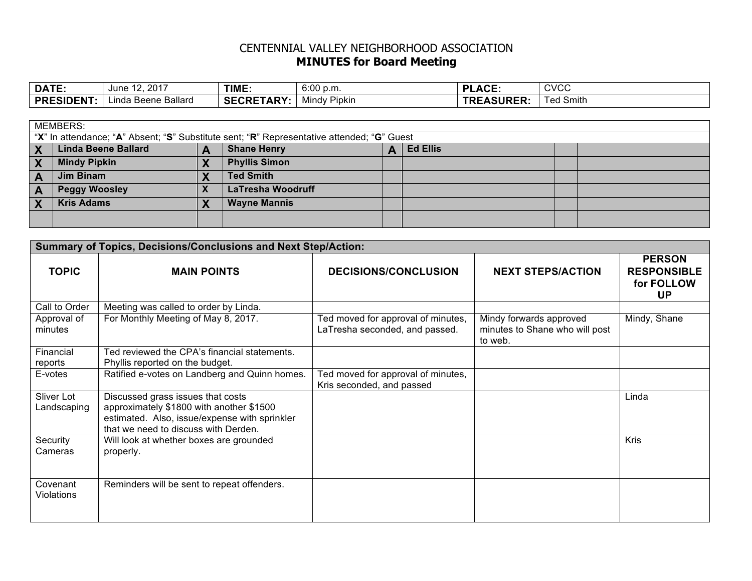## CENTENNIAL VALLEY NEIGHBORHOOD ASSOCIATION **MINUTES for Board Meeting**

| <b>DATE:</b>     | . 2017<br>June<br>$\overline{1}$ | TIME.                              | 0.00<br>6:00 p.m.   | $\Lambda$ $\cap$ $\Gamma$<br>ы<br>¬∽– | <b>CVCC</b>                              |
|------------------|----------------------------------|------------------------------------|---------------------|---------------------------------------|------------------------------------------|
| <b>PRESIDENT</b> | Linda Beene Ballard              | <b>TARY:</b><br>SECRF <sup>-</sup> | <b>Mindy Pipkin</b> | <b>TREASURER:</b>                     | $\overline{\phantom{a}}$<br>'ed<br>Smith |

| <b>MEMBERS:</b>                                                                            |                            |  |                          |  |                 |  |  |
|--------------------------------------------------------------------------------------------|----------------------------|--|--------------------------|--|-----------------|--|--|
| "X" In attendance; "A" Absent; "S" Substitute sent; "R" Representative attended; "G" Guest |                            |  |                          |  |                 |  |  |
|                                                                                            | <b>Linda Beene Ballard</b> |  | <b>Shane Henry</b>       |  | <b>Ed Ellis</b> |  |  |
|                                                                                            | <b>Mindy Pipkin</b>        |  | <b>Phyllis Simon</b>     |  |                 |  |  |
|                                                                                            | Jim Binam                  |  | <b>Ted Smith</b>         |  |                 |  |  |
|                                                                                            | <b>Peggy Woosley</b>       |  | <b>LaTresha Woodruff</b> |  |                 |  |  |
|                                                                                            | <b>Kris Adams</b>          |  | <b>Wayne Mannis</b>      |  |                 |  |  |
|                                                                                            |                            |  |                          |  |                 |  |  |

| <b>Summary of Topics, Decisions/Conclusions and Next Step/Action:</b> |                                                                                                                                                                        |                                                                      |                                                                      |                                                                |  |  |  |
|-----------------------------------------------------------------------|------------------------------------------------------------------------------------------------------------------------------------------------------------------------|----------------------------------------------------------------------|----------------------------------------------------------------------|----------------------------------------------------------------|--|--|--|
| <b>TOPIC</b>                                                          | <b>MAIN POINTS</b>                                                                                                                                                     | <b>DECISIONS/CONCLUSION</b>                                          | <b>NEXT STEPS/ACTION</b>                                             | <b>PERSON</b><br><b>RESPONSIBLE</b><br>for FOLLOW<br><b>UP</b> |  |  |  |
| Call to Order                                                         | Meeting was called to order by Linda.                                                                                                                                  |                                                                      |                                                                      |                                                                |  |  |  |
| Approval of<br>minutes                                                | For Monthly Meeting of May 8, 2017.                                                                                                                                    | Ted moved for approval of minutes,<br>LaTresha seconded, and passed. | Mindy forwards approved<br>minutes to Shane who will post<br>to web. | Mindy, Shane                                                   |  |  |  |
| Financial<br>reports                                                  | Ted reviewed the CPA's financial statements.<br>Phyllis reported on the budget.                                                                                        |                                                                      |                                                                      |                                                                |  |  |  |
| E-votes                                                               | Ratified e-votes on Landberg and Quinn homes.                                                                                                                          | Ted moved for approval of minutes,<br>Kris seconded, and passed      |                                                                      |                                                                |  |  |  |
| Sliver Lot<br>Landscaping                                             | Discussed grass issues that costs<br>approximately \$1800 with another \$1500<br>estimated. Also, issue/expense with sprinkler<br>that we need to discuss with Derden. |                                                                      |                                                                      | Linda                                                          |  |  |  |
| Security<br>Cameras                                                   | Will look at whether boxes are grounded<br>properly.                                                                                                                   |                                                                      |                                                                      | <b>Kris</b>                                                    |  |  |  |
| Covenant<br>Violations                                                | Reminders will be sent to repeat offenders.                                                                                                                            |                                                                      |                                                                      |                                                                |  |  |  |